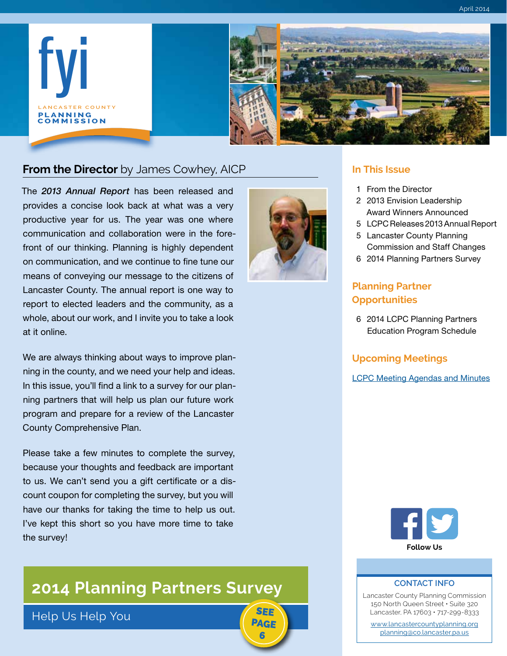

### **From the Director** by James Cowhey, AICP **In This Issue**

The *2013 Annual Report* has been released and provides a concise look back at what was a very productive year for us. The year was one where communication and collaboration were in the forefront of our thinking. Planning is highly dependent on communication, and we continue to fine tune our means of conveying our message to the citizens of Lancaster County. The annual report is one way to report to elected leaders and the community, as a whole, about our work, and I invite you to take a look at it online.

We are always thinking about ways to improve planning in the county, and we need your help and ideas. In this issue, you'll find a link to a survey for our planning partners that will help us plan our future work program and prepare for a review of the Lancaster County Comprehensive Plan.

Please take a few minutes to complete the survey, because your thoughts and feedback are important to us. We can't send you a gift certificate or a discount coupon for completing the survey, but you will have our thanks for taking the time to help us out. I've kept this short so you have more time to take the survey!

# **[2014 Planning Partners Survey](#page-5-0)**

Help Us Help You



SEE PAGE 6

- 1 From the Director
- 2 2013 Envision Leadership [Award Winners Announced](#page-1-0)
- 5 [LCPC Releases 2013 Annual Report](#page-4-0)
- 5 Lancaster County Planning [Commission and Staff Changes](#page-4-0)
- 6 [2014 Planning Partners Survey](#page-5-0)

### **Planning Partner Opportunities**

6 [2014 LCPC Planning Partners](#page-5-0)  Education Program Schedule

### **Upcoming Meetings**

[LCPC Meeting Agendas and Minutes](http://www.lancastercountyplanning.org/agendacenter)



#### **CONTACT INFO**

Lancaster County Planning Commission 150 North Queen Street • Suite 320 Lancaster, PA 17603 • 717-299-8333

[www.lancastercountyplanning.org](http://www.lancastercountyplanning.org) [planning@co.lancaster.pa.us](mailto:planning%40co.lancaster.pa.us?subject=FYI%20Comment)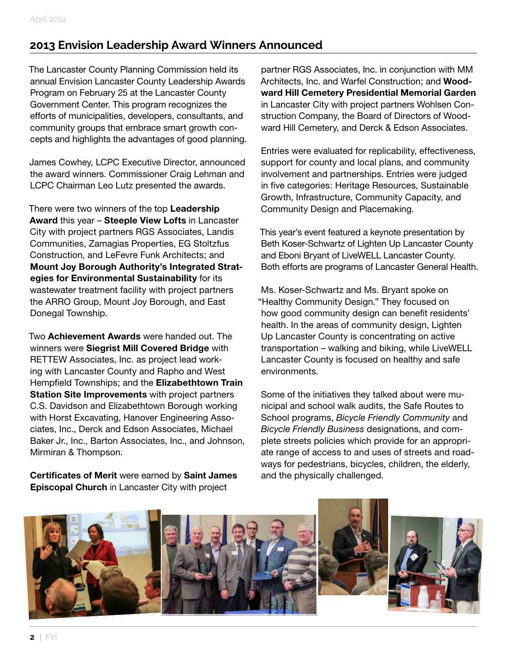# <span id="page-1-0"></span>**2013 Envision Leadership Award Winners Announced**

The Lancaster County Planning Commission held its annual Envision Lancaster County Leadership Awards Program on February 25 at the Lancaster County Government Center. This program recognizes the efforts of municipalities, developers, consultants, and community groups that embrace smart growth concepts and highlights the advantages of good planning.

James Cowhey, LCPC Executive Director, announced the award winners. Commissioner Craig Lehman and LCPC Chairman Leo Lutz presented the awards.

There were two winners of the top **Leadership Award** this year – **Steeple View Lofts** in Lancaster City with project partners RGS Associates, Landis Communities, Zamagias Properties, EG Stoltzfus Construction, and LeFevre Funk Architects; and **Mount Joy Borough Authority's Integrated Strategies for Environmental Sustainability** for its wastewater treatment facility with project partners the ARRO Group, Mount Joy Borough, and East Donegal Township.

Two **Achievement Awards** were handed out. The winners were **Siegrist Mill Covered Bridge** with RETTEW Associates, Inc. as project lead working with Lancaster County and Rapho and West Hempfield Townships; and the **Elizabethtown Train Station Site Improvements** with project partners C.S. Davidson and Elizabethtown Borough working with Horst Excavating, Hanover Engineering Associates, Inc., Derck and Edson Associates, Michael Baker Jr., Inc., Barton Associates, Inc., and Johnson, Mirmiran & Thompson.

**Certificates of Merit** were earned by **Saint James Episcopal Church** in Lancaster City with project

partner RGS Associates, Inc. in conjunction with MM Architects, Inc. and Warfel Construction; and **Woodward Hill Cemetery Presidential Memorial Garden** in Lancaster City with project partners Wohlsen Construction Company, the Board of Directors of Woodward Hill Cemetery, and Derck & Edson Associates.

Entries were evaluated for replicability, effectiveness, support for county and local plans, and community involvement and partnerships. Entries were judged in five categories: Heritage Resources, Sustainable Growth, Infrastructure, Community Capacity, and Community Design and Placemaking.

This year's event featured a keynote presentation by Beth Koser-Schwartz of Lighten Up Lancaster County and Eboni Bryant of LiveWELL Lancaster County. Both efforts are programs of Lancaster General Health.

Ms. Koser-Schwartz and Ms. Bryant spoke on "Healthy Community Design." They focused on how good community design can benefit residents' health. In the areas of community design, Lighten Up Lancaster County is concentrating on active transportation – walking and biking, while LiveWELL Lancaster County is focused on healthy and safe environments.

Some of the initiatives they talked about were municipal and school walk audits, the Safe Routes to School programs, *Bicycle Friendly Community* and *Bicycle Friendly Business* designations, and complete streets policies which provide for an appropriate range of access to and uses of streets and roadways for pedestrians, bicycles, children, the elderly, and the physically challenged.

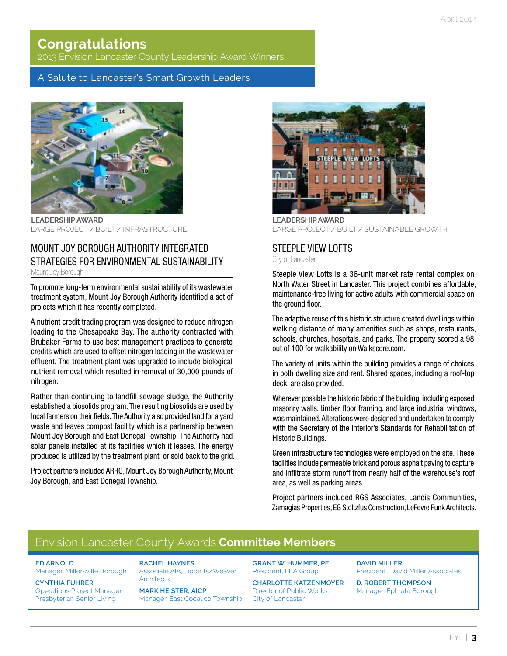# **Congratulations**

2013 Envision Lancaster County Leadership Award Winners

### A Salute to Lancaster's Smart Growth Leaders



**LEADERSHIP AWARD** LARGE PROJECT / BUILT / INFRASTRUCTURE

### MOUNT JOY BOROUGH AUTHORITY INTEGRATED STRATEGIES FOR ENVIRONMENTAL SUSTAINABILITY Mount Joy Borough

To promote long-term environmental sustainability of its wastewater treatment system, Mount Joy Borough Authority identified a set of projects which it has recently completed.

A nutrient credit trading program was designed to reduce nitrogen loading to the Chesapeake Bay. The authority contracted with Brubaker Farms to use best management practices to generate credits which are used to offset nitrogen loading in the wastewater effluent. The treatment plant was upgraded to include biological nutrient removal which resulted in removal of 30,000 pounds of nitrogen.

Rather than continuing to landfill sewage sludge, the Authority established a biosolids program. The resulting biosolids are used by local farmers on their fields. The Authority also provided land for a yard waste and leaves compost facility which is a partnership between Mount Joy Borough and East Donegal Township. The Authority had solar panels installed at its facilities which it leases. The energy produced is utilized by the treatment plant or sold back to the grid.

Project partners included ARRO, Mount Joy Borough Authority, Mount Joy Borough, and East Donegal Township.



**LEADERSHIP AWARD** LARGE PROJECT / BUILT / SUSTAINABLE GROWTH

### STEEPLE VIEW LOFTS

City of Lancaster

Steeple View Lofts is a 36-unit market rate rental complex on North Water Street in Lancaster. This project combines affordable, maintenance-free living for active adults with commercial space on the ground floor.

The adaptive reuse of this historic structure created dwellings within walking distance of many amenities such as shops, restaurants, schools, churches, hospitals, and parks. The property scored a 98 out of 100 for walkability on Walkscore.com.

The variety of units within the building provides a range of choices in both dwelling size and rent. Shared spaces, including a roof-top deck, are also provided.

Wherever possible the historic fabric of the building, including exposed masonry walls, timber floor framing, and large industrial windows, was maintained. Alterations were designed and undertaken to comply with the Secretary of the Interior's Standards for Rehabilitation of Historic Buildings.

Green infrastructure technologies were employed on the site. These facilities include permeable brick and porous asphalt paving to capture and infiltrate storm runoff from nearly half of the warehouse's roof area, as well as parking areas.

Project partners included RGS Associates, Landis Communities, Zamagias Properties, EG Stoltzfus Construction, LeFevre Funk Architects.

# Envision Lancaster County Awards **Committee Members**

### **ED ARNOLD**

Manager, Millersville Borough

**CYNTHIA FUHRER** Operations Project Manager, Presbyterian Senior Living

**RACHEL HAYNES** Associate AIA, Tippetts/Weaver **Architects** 

**MARK HEISTER, AICP** Manager, East Cocalico Township **GRANT W. HUMMER, PE** President, ELA Group

**CHARLOTTE KATZENMOYER** Director of Public Works, City of Lancaster

**DAVID MILLER** President , David Miller Associates

**D. ROBERT THOMPSON** Manager, Ephrata Borough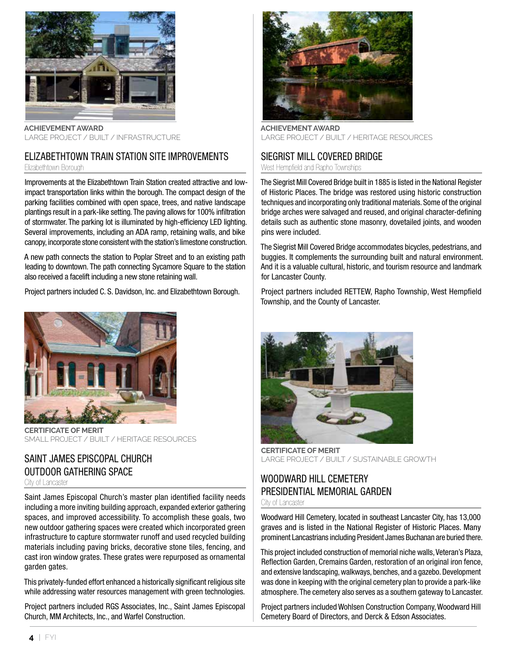

**ACHIEVEMENT AWARD** LARGE PROJECT / BUILT / INFRASTRUCTURE

#### ELIZABETHTOWN TRAIN STATION SITE IMPROVEMENTS Elizabethtown Borough

Improvements at the Elizabethtown Train Station created attractive and lowimpact transportation links within the borough. The compact design of the parking facilities combined with open space, trees, and native landscape plantings result in a park-like setting. The paving allows for 100% infiltration of stormwater. The parking lot is illuminated by high-efficiency LED lighting. Several improvements, including an ADA ramp, retaining walls, and bike canopy, incorporate stone consistent with the station's limestone construction.

A new path connects the station to Poplar Street and to an existing path leading to downtown. The path connecting Sycamore Square to the station also received a facelift including a new stone retaining wall.

Project partners included C. S. Davidson, Inc. and Elizabethtown Borough.



**CERTIFICATE OF MERIT** SMALL PROJECT / BUILT / HERITAGE RESOURCES

### SAINT JAMES EPISCOPAL CHURCH OUTDOOR GATHERING SPACE

City of Lancaster

Saint James Episcopal Church's master plan identified facility needs including a more inviting building approach, expanded exterior gathering spaces, and improved accessibility. To accomplish these goals, two new outdoor gathering spaces were created which incorporated green infrastructure to capture stormwater runoff and used recycled building materials including paving bricks, decorative stone tiles, fencing, and cast iron window grates. These grates were repurposed as ornamental garden gates.

This privately-funded effort enhanced a historically significant religious site while addressing water resources management with green technologies.

Project partners included RGS Associates, Inc., Saint James Episcopal Church, MM Architects, Inc., and Warfel Construction.



**ACHIEVEMENT AWARD** LARGE PROJECT / BUILT / HERITAGE RESOURCES

### SIEGRIST MILL COVERED BRIDGE

West Hempfield and Rapho Townships

The Siegrist Mill Covered Bridge built in 1885 is listed in the National Register of Historic Places. The bridge was restored using historic construction techniques and incorporating only traditional materials. Some of the original bridge arches were salvaged and reused, and original character-defining details such as authentic stone masonry, dovetailed joints, and wooden pins were included.

The Siegrist Mill Covered Bridge accommodates bicycles, pedestrians, and buggies. It complements the surrounding built and natural environment. And it is a valuable cultural, historic, and tourism resource and landmark for Lancaster County.

Project partners included RETTEW, Rapho Township, West Hempfield Township, and the County of Lancaster.



**CERTIFICATE OF MERIT** LARGE PROJECT / BUILT / SUSTAINABLE GROWTH

# WOODWARD HILL CEMETERY PRESIDENTIAL MEMORIAL GARDEN

City of Lancaster

Woodward Hill Cemetery, located in southeast Lancaster City, has 13,000 graves and is listed in the National Register of Historic Places. Many prominent Lancastrians including President James Buchanan are buried there.

This project included construction of memorial niche walls, Veteran's Plaza, Reflection Garden, Cremains Garden, restoration of an original iron fence, and extensive landscaping, walkways, benches, and a gazebo. Development was done in keeping with the original cemetery plan to provide a park-like atmosphere. The cemetery also serves as a southern gateway to Lancaster.

Project partners included Wohlsen Construction Company, Woodward Hill Cemetery Board of Directors, and Derck & Edson Associates.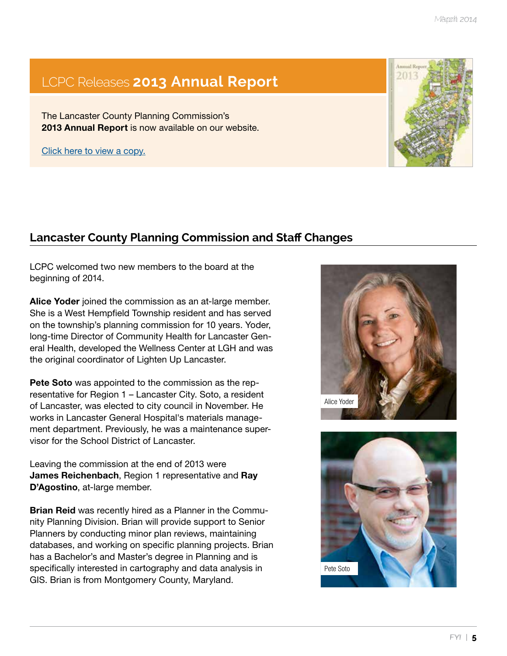# <span id="page-4-0"></span>LCPC Releases **[2013 Annual Report](http://www.lancastercountyplanning.org/DocumentCenter/View/262)**

The Lancaster County Planning Commission's **2013 Annual Report** is now available on our website.

Click here to view a copy.

# **Lancaster County Planning Commission and Staff Changes**

LCPC welcomed two new members to the board at the beginning of 2014.

**Alice Yoder** joined the commission as an at-large member. She is a West Hempfield Township resident and has served on the township's planning commission for 10 years. Yoder, long-time Director of Community Health for Lancaster General Health, developed the Wellness Center at LGH and was the original coordinator of Lighten Up Lancaster.

**Pete Soto** was appointed to the commission as the representative for Region 1 – Lancaster City. Soto, a resident of Lancaster, was elected to city council in November. He works in Lancaster General Hospital's materials management department. Previously, he was a maintenance supervisor for the School District of Lancaster.

Leaving the commission at the end of 2013 were **James Reichenbach**, Region 1 representative and **Ray D'Agostino**, at-large member.

**Brian Reid** was recently hired as a Planner in the Community Planning Division. Brian will provide support to Senior Planners by conducting minor plan reviews, maintaining databases, and working on specific planning projects. Brian has a Bachelor's and Master's degree in Planning and is specifically interested in cartography and data analysis in GIS. Brian is from Montgomery County, Maryland.





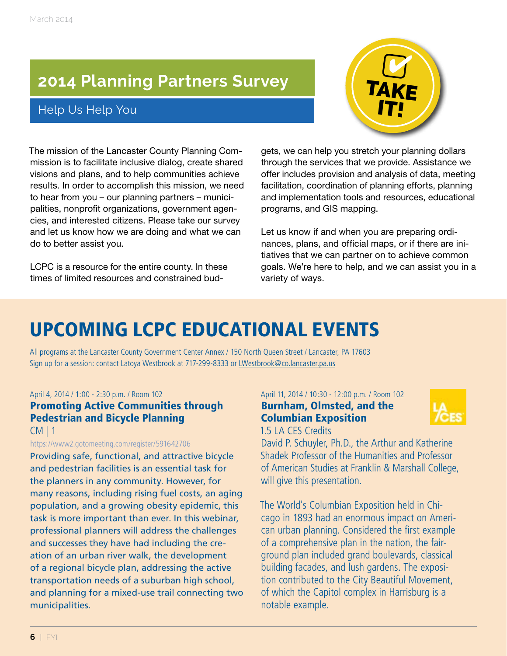# <span id="page-5-0"></span>**[2014 Planning Partners Survey](https://www.surveymonkey.com/s/WV56WLG)**

# Help Us Help You



The mission of the Lancaster County Planning Commission is to facilitate inclusive dialog, create shared visions and plans, and to help communities achieve results. In order to accomplish this mission, we need to hear from you – our planning partners – municipalities, nonprofit organizations, government agencies, and interested citizens. Please take our survey and let us know how we are doing and what we can do to better assist you.

LCPC is a resource for the entire county. In these times of limited resources and constrained bud-

gets, we can help you stretch your planning dollars through the services that we provide. Assistance we offer includes provision and analysis of data, meeting facilitation, coordination of planning efforts, planning and implementation tools and resources, educational programs, and GIS mapping.

Let us know if and when you are preparing ordinances, plans, and official maps, or if there are initiatives that we can partner on to achieve common goals. We're here to help, and we can assist you in a variety of ways.

# UPCOMING LCPC EDUCATIONAL EVENTS

All programs at the Lancaster County Government Center Annex / 150 North Queen Street / Lancaster, PA 17603 Sign up for a session: contact Latoya Westbrook at 717-299-8333 or [LWestbrook@co.lancaster.pa.us](mailto:%20LWestbrook%40co.lancaster.pa.us?subject=Educational%20Event%20registration)

### April 4, 2014 / 1:00 - 2:30 p.m. / Room 102

### [Promoting Active Communities through](https://www2.gotomeeting.com/register/591642706)  Pedestrian and Bicycle Planning  $CM 11$

https://www2.gotomeeting.com/register/591642706

Providing safe, functional, and attractive bicycle and pedestrian facilities is an essential task for the planners in any community. However, for many reasons, including rising fuel costs, an aging population, and a growing obesity epidemic, this task is more important than ever. In this webinar, professional planners will address the challenges and successes they have had including the creation of an urban river walk, the development of a regional bicycle plan, addressing the active transportation needs of a suburban high school, and planning for a mixed-use trail connecting two municipalities.

### April 11, 2014 / 10:30 - 12:00 p.m. / Room 102 Burnham, Olmsted, and the Columbian Exposition



1.5 LA CES Credits

David P. Schuyler, Ph.D., the Arthur and Katherine Shadek Professor of the Humanities and Professor of American Studies at Franklin & Marshall College, will give this presentation.

The World's Columbian Exposition held in Chicago in 1893 had an enormous impact on American urban planning. Considered the first example of a comprehensive plan in the nation, the fairground plan included grand boulevards, classical building facades, and lush gardens. The exposition contributed to the City Beautiful Movement, of which the Capitol complex in Harrisburg is a notable example.